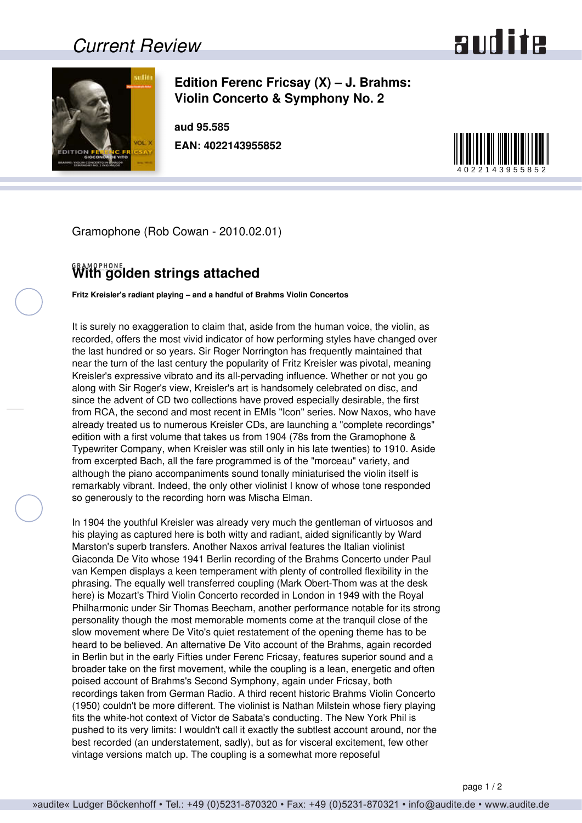## *Current Review*





**Edition Ferenc Fricsay (X) – J. Brahms: Violin Concerto & Symphony No. 2**

**aud 95.585 EAN: 4022143955852**



Gramophone (Rob Cowan - 2010.02.01)

## **With golden strings attached**

**Fritz Kreisler's radiant playing – and a handful of Brahms Violin Concertos**

It is surely no exaggeration to claim that, aside from the human voice, the violin, as recorded, offers the most vivid indicator of how performing styles have changed over the last hundred or so years. Sir Roger Norrington has frequently maintained that near the turn of the last century the popularity of Fritz Kreisler was pivotal, meaning Kreisler's expressive vibrato and its all-pervading influence. Whether or not you go along with Sir Roger's view, Kreisler's art is handsomely celebrated on disc, and since the advent of CD two collections have proved especially desirable, the first from RCA, the second and most recent in EMIs "Icon" series. Now Naxos, who have already treated us to numerous Kreisler CDs, are launching a "complete recordings" edition with a first volume that takes us from 1904 (78s from the Gramophone & Typewriter Company, when Kreisler was still only in his late twenties) to 1910. Aside from excerpted Bach, all the fare programmed is of the "morceau" variety, and although the piano accompaniments sound tonally miniaturised the violin itself is remarkably vibrant. Indeed, the only other violinist I know of whose tone responded so generously to the recording horn was Mischa Elman.

In 1904 the youthful Kreisler was already very much the gentleman of virtuosos and his playing as captured here is both witty and radiant, aided significantly by Ward Marston's superb transfers. Another Naxos arrival features the Italian violinist Giaconda De Vito whose 1941 Berlin recording of the Brahms Concerto under Paul van Kempen displays a keen temperament with plenty of controlled flexibility in the phrasing. The equally well transferred coupling (Mark Obert-Thom was at the desk here) is Mozart's Third Violin Concerto recorded in London in 1949 with the Royal Philharmonic under Sir Thomas Beecham, another performance notable for its strong personality though the most memorable moments come at the tranquil close of the slow movement where De Vito's quiet restatement of the opening theme has to be heard to be believed. An alternative De Vito account of the Brahms, again recorded in Berlin but in the early Fifties under Ferenc Fricsay, features superior sound and a broader take on the first movement, while the coupling is a lean, energetic and often poised account of Brahms's Second Symphony, again under Fricsay, both recordings taken from German Radio. A third recent historic Brahms Violin Concerto (1950) couldn't be more different. The violinist is Nathan Milstein whose fiery playing fits the white-hot context of Victor de Sabata's conducting. The New York Phil is pushed to its very limits: I wouldn't call it exactly the subtlest account around, nor the best recorded (an understatement, sadly), but as for visceral excitement, few other vintage versions match up. The coupling is a somewhat more reposeful